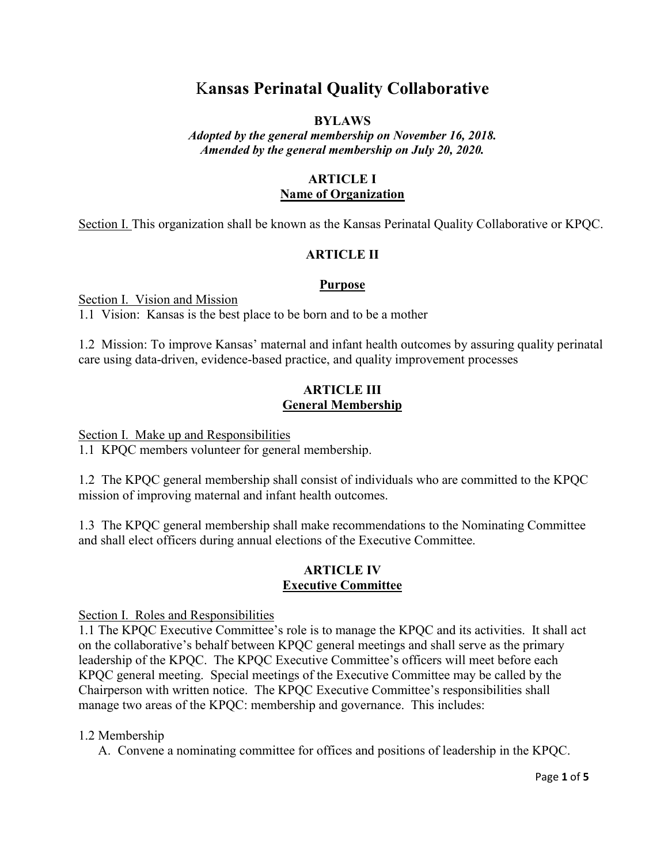# K**ansas Perinatal Quality Collaborative**

## **BYLAWS**

*Adopted by the general membership on November 16, 2018. Amended by the general membership on July 20, 2020.*

## **ARTICLE I Name of Organization**

Section I. This organization shall be known as the Kansas Perinatal Quality Collaborative or KPQC.

# **ARTICLE II**

## **Purpose**

Section I. Vision and Mission

1.1 Vision: Kansas is the best place to be born and to be a mother

1.2 Mission: To improve Kansas' maternal and infant health outcomes by assuring quality perinatal care using data-driven, evidence-based practice, and quality improvement processes

## **ARTICLE III General Membership**

Section I. Make up and Responsibilities

1.1 KPQC members volunteer for general membership.

1.2 The KPQC general membership shall consist of individuals who are committed to the KPQC mission of improving maternal and infant health outcomes.

1.3 The KPQC general membership shall make recommendations to the Nominating Committee and shall elect officers during annual elections of the Executive Committee.

# **ARTICLE IV Executive Committee**

Section I. Roles and Responsibilities

1.1 The KPQC Executive Committee's role is to manage the KPQC and its activities. It shall act on the collaborative's behalf between KPQC general meetings and shall serve as the primary leadership of the KPQC. The KPQC Executive Committee's officers will meet before each KPQC general meeting. Special meetings of the Executive Committee may be called by the Chairperson with written notice. The KPQC Executive Committee's responsibilities shall manage two areas of the KPQC: membership and governance. This includes:

# 1.2 Membership

A. Convene a nominating committee for offices and positions of leadership in the KPQC.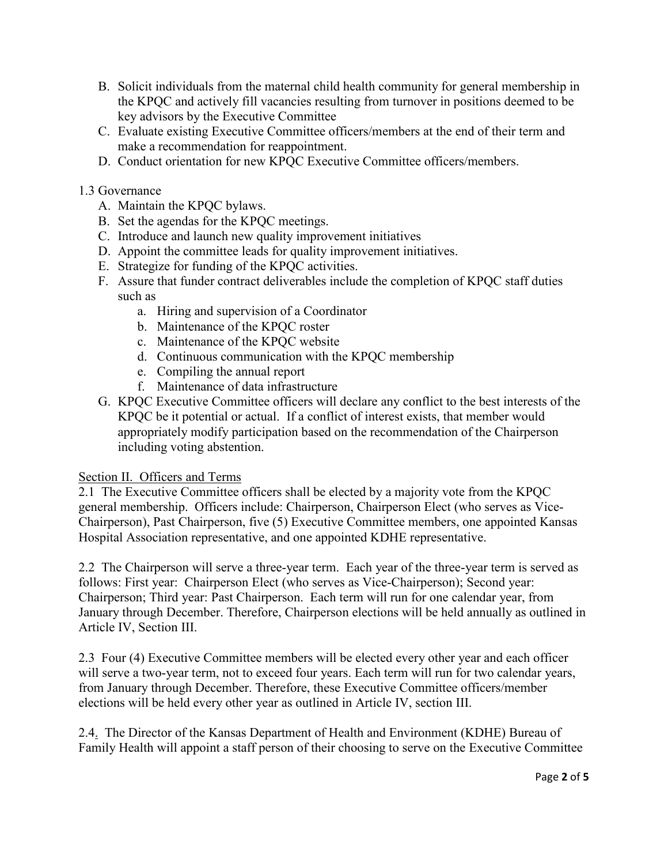- B. Solicit individuals from the maternal child health community for general membership in the KPQC and actively fill vacancies resulting from turnover in positions deemed to be key advisors by the Executive Committee
- C. Evaluate existing Executive Committee officers/members at the end of their term and make a recommendation for reappointment.
- D. Conduct orientation for new KPQC Executive Committee officers/members.

# 1.3 Governance

- A. Maintain the KPQC bylaws.
- B. Set the agendas for the KPQC meetings.
- C. Introduce and launch new quality improvement initiatives
- D. Appoint the committee leads for quality improvement initiatives.
- E. Strategize for funding of the KPQC activities.
- F. Assure that funder contract deliverables include the completion of KPQC staff duties such as
	- a. Hiring and supervision of a Coordinator
	- b. Maintenance of the KPQC roster
	- c. Maintenance of the KPQC website
	- d. Continuous communication with the KPQC membership
	- e. Compiling the annual report
	- f. Maintenance of data infrastructure
- G. KPQC Executive Committee officers will declare any conflict to the best interests of the KPQC be it potential or actual. If a conflict of interest exists, that member would appropriately modify participation based on the recommendation of the Chairperson including voting abstention.

# Section II. Officers and Terms

2.1 The Executive Committee officers shall be elected by a majority vote from the KPQC general membership.Officers include: Chairperson, Chairperson Elect (who serves as Vice-Chairperson), Past Chairperson, five (5) Executive Committee members, one appointed Kansas Hospital Association representative, and one appointed KDHE representative.

2.2 The Chairperson will serve a three-year term. Each year of the three-year term is served as follows: First year: Chairperson Elect (who serves as Vice-Chairperson); Second year: Chairperson; Third year: Past Chairperson. Each term will run for one calendar year, from January through December. Therefore, Chairperson elections will be held annually as outlined in Article IV, Section III.

2.3 Four (4) Executive Committee members will be elected every other year and each officer will serve a two-year term, not to exceed four years. Each term will run for two calendar years, from January through December. Therefore, these Executive Committee officers/member elections will be held every other year as outlined in Article IV, section III.

2.4. The Director of the Kansas Department of Health and Environment (KDHE) Bureau of Family Health will appoint a staff person of their choosing to serve on the Executive Committee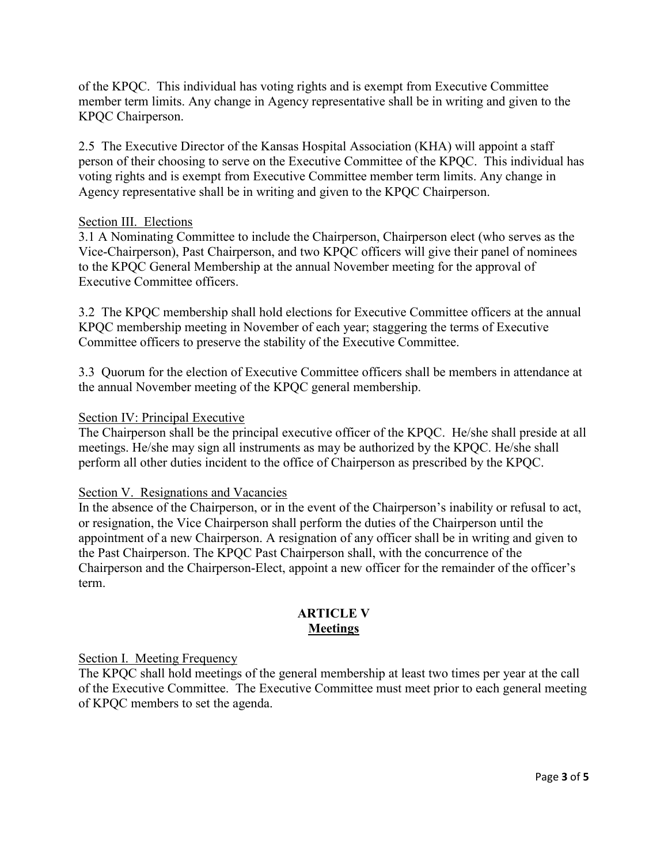of the KPQC. This individual has voting rights and is exempt from Executive Committee member term limits. Any change in Agency representative shall be in writing and given to the KPQC Chairperson.

2.5 The Executive Director of the Kansas Hospital Association (KHA) will appoint a staff person of their choosing to serve on the Executive Committee of the KPQC. This individual has voting rights and is exempt from Executive Committee member term limits. Any change in Agency representative shall be in writing and given to the KPQC Chairperson.

#### Section III. Elections

3.1 A Nominating Committee to include the Chairperson, Chairperson elect (who serves as the Vice-Chairperson), Past Chairperson, and two KPQC officers will give their panel of nominees to the KPQC General Membership at the annual November meeting for the approval of Executive Committee officers.

3.2 The KPQC membership shall hold elections for Executive Committee officers at the annual KPQC membership meeting in November of each year; staggering the terms of Executive Committee officers to preserve the stability of the Executive Committee.

3.3 Quorum for the election of Executive Committee officers shall be members in attendance at the annual November meeting of the KPQC general membership.

## Section IV: Principal Executive

The Chairperson shall be the principal executive officer of the KPQC. He/she shall preside at all meetings. He/she may sign all instruments as may be authorized by the KPQC. He/she shall perform all other duties incident to the office of Chairperson as prescribed by the KPQC.

#### Section V. Resignations and Vacancies

In the absence of the Chairperson, or in the event of the Chairperson's inability or refusal to act, or resignation, the Vice Chairperson shall perform the duties of the Chairperson until the appointment of a new Chairperson. A resignation of any officer shall be in writing and given to the Past Chairperson. The KPQC Past Chairperson shall, with the concurrence of the Chairperson and the Chairperson-Elect, appoint a new officer for the remainder of the officer's term.

# **ARTICLE V Meetings**

#### Section I. Meeting Frequency

The KPQC shall hold meetings of the general membership at least two times per year at the call of the Executive Committee. The Executive Committee must meet prior to each general meeting of KPQC members to set the agenda.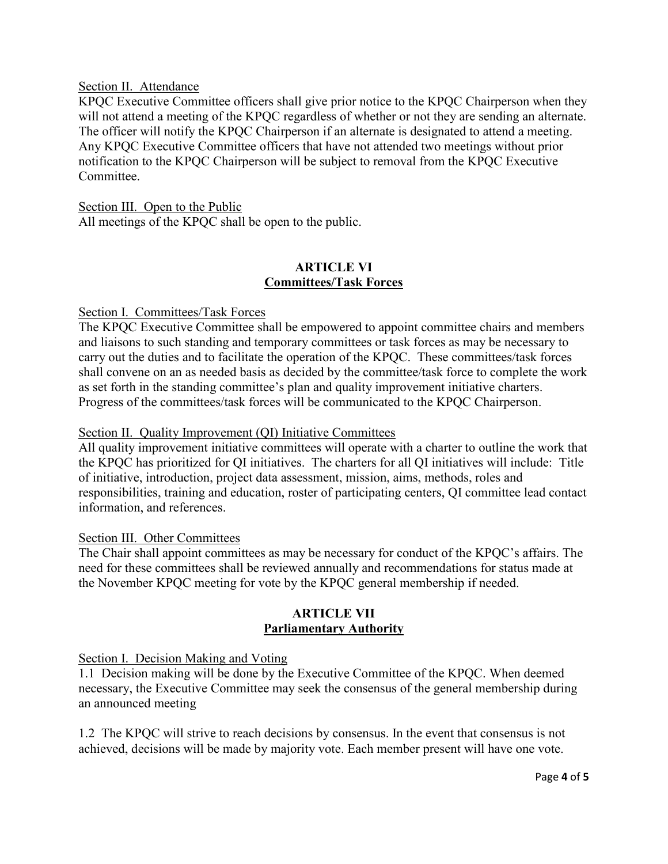#### Section II. Attendance

KPQC Executive Committee officers shall give prior notice to the KPQC Chairperson when they will not attend a meeting of the KPQC regardless of whether or not they are sending an alternate. The officer will notify the KPQC Chairperson if an alternate is designated to attend a meeting. Any KPQC Executive Committee officers that have not attended two meetings without prior notification to the KPQC Chairperson will be subject to removal from the KPQC Executive Committee.

Section III. Open to the Public All meetings of the KPQC shall be open to the public.

## **ARTICLE VI Committees/Task Forces**

#### Section I. Committees/Task Forces

The KPQC Executive Committee shall be empowered to appoint committee chairs and members and liaisons to such standing and temporary committees or task forces as may be necessary to carry out the duties and to facilitate the operation of the KPQC. These committees/task forces shall convene on an as needed basis as decided by the committee/task force to complete the work as set forth in the standing committee's plan and quality improvement initiative charters. Progress of the committees/task forces will be communicated to the KPQC Chairperson.

#### Section II. Quality Improvement (QI) Initiative Committees

All quality improvement initiative committees will operate with a charter to outline the work that the KPQC has prioritized for QI initiatives. The charters for all QI initiatives will include: Title of initiative, introduction, project data assessment, mission, aims, methods, roles and responsibilities, training and education, roster of participating centers, QI committee lead contact information, and references.

#### Section III. Other Committees

The Chair shall appoint committees as may be necessary for conduct of the KPQC's affairs. The need for these committees shall be reviewed annually and recommendations for status made at the November KPQC meeting for vote by the KPQC general membership if needed.

## **ARTICLE VII Parliamentary Authority**

Section I. Decision Making and Voting

1.1 Decision making will be done by the Executive Committee of the KPQC. When deemed necessary, the Executive Committee may seek the consensus of the general membership during an announced meeting

1.2 The KPQC will strive to reach decisions by consensus. In the event that consensus is not achieved, decisions will be made by majority vote. Each member present will have one vote.